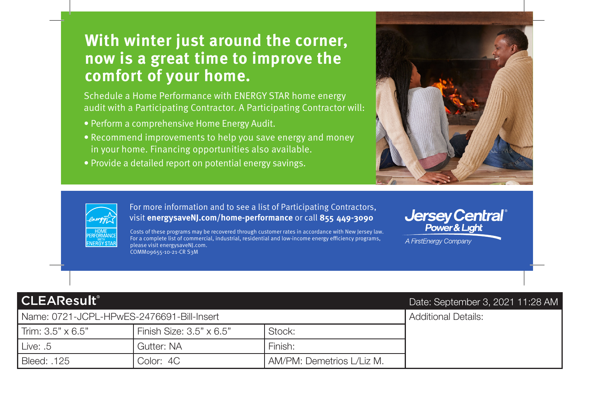# **With winter just around the corner, now is a great time to improve the comfort of your home.**

Schedule a Home Performance with ENERGY STAR home energy audit with a Participating Contractor. A Participating Contractor will:

- Perform a comprehensive Home Energy Audit.
- • Recommend improvements to help you save energy and money in your home. Financing opportunities also available.
- Provide a detailed report on potential energy savings.





**-** visit **[energysaveNJ.com/home-performance](https://energysaveNJ.com/home-performance)** or call **855 449-3090**  For more information and to see a list of Participating Contractors,

COMM09655-10-21-CR S3M Costs of these programs may be recovered through customer rates in accordance with New Jersey law. For a complete list of commercial, industrial, residential and low-income energy efciency programs, please visit [energysaveNJ.com.](https://energysaveNJ.com)

## **Jersey Central**® Power & Liaht

A FirstEnergy Company

## **CLEAResult®**

### Name: 0721-JCPL-HPwES-2476691-Bill-Insert Additional Details:

| Trim: $3.5" \times 6.5"$ | Finish Size: $3.5" \times 6.5"$ | Stock:                    |
|--------------------------|---------------------------------|---------------------------|
| Live: .5                 | Gutter: NA                      | Finish:                   |
| Bleed: .125              | Color: 4C                       | AM/PM: Demetrios L/Liz M. |

### Date: September 3, 2021 11:28 AM